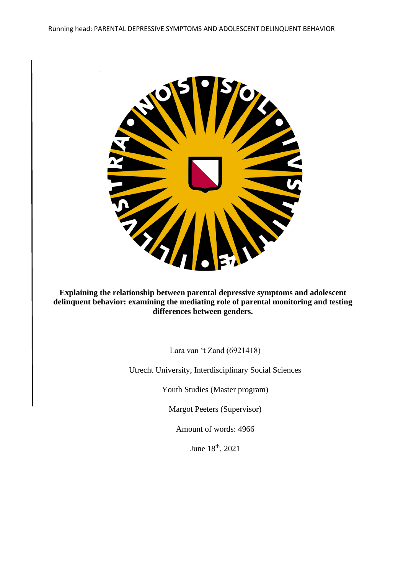

**Explaining the relationship between parental depressive symptoms and adolescent delinquent behavior: examining the mediating role of parental monitoring and testing differences between genders.** 

Lara van 't Zand (6921418)

Utrecht University, Interdisciplinary Social Sciences

Youth Studies (Master program)

Margot Peeters (Supervisor)

Amount of words: 4966

June 18th, 2021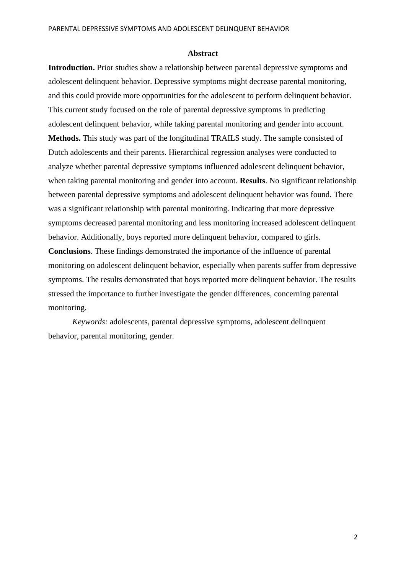#### **Abstract**

**Introduction.** Prior studies show a relationship between parental depressive symptoms and adolescent delinquent behavior. Depressive symptoms might decrease parental monitoring, and this could provide more opportunities for the adolescent to perform delinquent behavior. This current study focused on the role of parental depressive symptoms in predicting adolescent delinquent behavior, while taking parental monitoring and gender into account. **Methods.** This study was part of the longitudinal TRAILS study. The sample consisted of Dutch adolescents and their parents. Hierarchical regression analyses were conducted to analyze whether parental depressive symptoms influenced adolescent delinquent behavior, when taking parental monitoring and gender into account. **Results**. No significant relationship between parental depressive symptoms and adolescent delinquent behavior was found. There was a significant relationship with parental monitoring. Indicating that more depressive symptoms decreased parental monitoring and less monitoring increased adolescent delinquent behavior. Additionally, boys reported more delinquent behavior, compared to girls. **Conclusions**. These findings demonstrated the importance of the influence of parental monitoring on adolescent delinquent behavior, especially when parents suffer from depressive symptoms. The results demonstrated that boys reported more delinquent behavior. The results stressed the importance to further investigate the gender differences, concerning parental monitoring.

*Keywords:* adolescents, parental depressive symptoms, adolescent delinquent behavior, parental monitoring, gender.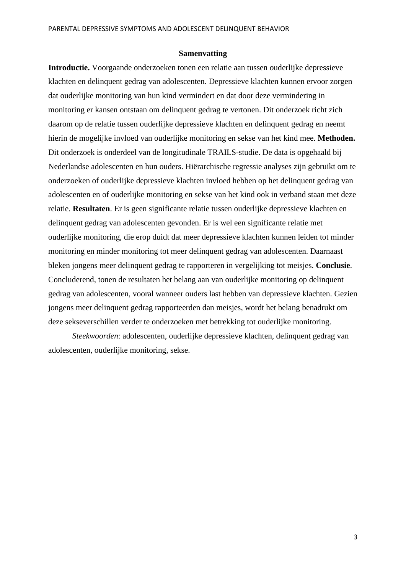#### **Samenvatting**

**Introductie.** Voorgaande onderzoeken tonen een relatie aan tussen ouderlijke depressieve klachten en delinquent gedrag van adolescenten. Depressieve klachten kunnen ervoor zorgen dat ouderlijke monitoring van hun kind vermindert en dat door deze vermindering in monitoring er kansen ontstaan om delinquent gedrag te vertonen. Dit onderzoek richt zich daarom op de relatie tussen ouderlijke depressieve klachten en delinquent gedrag en neemt hierin de mogelijke invloed van ouderlijke monitoring en sekse van het kind mee. **Methoden.**  Dit onderzoek is onderdeel van de longitudinale TRAILS-studie. De data is opgehaald bij Nederlandse adolescenten en hun ouders. Hiërarchische regressie analyses zijn gebruikt om te onderzoeken of ouderlijke depressieve klachten invloed hebben op het delinquent gedrag van adolescenten en of ouderlijke monitoring en sekse van het kind ook in verband staan met deze relatie. **Resultaten**. Er is geen significante relatie tussen ouderlijke depressieve klachten en delinquent gedrag van adolescenten gevonden. Er is wel een significante relatie met ouderlijke monitoring, die erop duidt dat meer depressieve klachten kunnen leiden tot minder monitoring en minder monitoring tot meer delinquent gedrag van adolescenten. Daarnaast bleken jongens meer delinquent gedrag te rapporteren in vergelijking tot meisjes. **Conclusie**. Concluderend, tonen de resultaten het belang aan van ouderlijke monitoring op delinquent gedrag van adolescenten, vooral wanneer ouders last hebben van depressieve klachten. Gezien jongens meer delinquent gedrag rapporteerden dan meisjes, wordt het belang benadrukt om deze sekseverschillen verder te onderzoeken met betrekking tot ouderlijke monitoring.

*Steekwoorden*: adolescenten, ouderlijke depressieve klachten, delinquent gedrag van adolescenten, ouderlijke monitoring, sekse.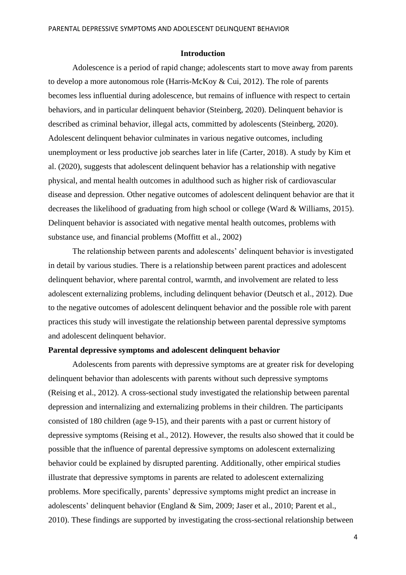#### **Introduction**

Adolescence is a period of rapid change; adolescents start to move away from parents to develop a more autonomous role (Harris-McKoy & Cui, 2012). The role of parents becomes less influential during adolescence, but remains of influence with respect to certain behaviors, and in particular delinquent behavior (Steinberg, 2020). Delinquent behavior is described as criminal behavior, illegal acts, committed by adolescents (Steinberg, 2020). Adolescent delinquent behavior culminates in various negative outcomes, including unemployment or less productive job searches later in life (Carter, 2018). A study by Kim et al. (2020), suggests that adolescent delinquent behavior has a relationship with negative physical, and mental health outcomes in adulthood such as higher risk of cardiovascular disease and depression. Other negative outcomes of adolescent delinquent behavior are that it decreases the likelihood of graduating from high school or college (Ward & Williams, 2015). Delinquent behavior is associated with negative mental health outcomes, problems with substance use, and financial problems (Moffitt et al., 2002)

The relationship between parents and adolescents' delinquent behavior is investigated in detail by various studies. There is a relationship between parent practices and adolescent delinquent behavior, where parental control, warmth, and involvement are related to less adolescent externalizing problems, including delinquent behavior (Deutsch et al., 2012). Due to the negative outcomes of adolescent delinquent behavior and the possible role with parent practices this study will investigate the relationship between parental depressive symptoms and adolescent delinquent behavior.

### **Parental depressive symptoms and adolescent delinquent behavior**

Adolescents from parents with depressive symptoms are at greater risk for developing delinquent behavior than adolescents with parents without such depressive symptoms (Reising et al., 2012). A cross-sectional study investigated the relationship between parental depression and internalizing and externalizing problems in their children. The participants consisted of 180 children (age 9-15), and their parents with a past or current history of depressive symptoms (Reising et al., 2012). However, the results also showed that it could be possible that the influence of parental depressive symptoms on adolescent externalizing behavior could be explained by disrupted parenting. Additionally, other empirical studies illustrate that depressive symptoms in parents are related to adolescent externalizing problems. More specifically, parents' depressive symptoms might predict an increase in adolescents' delinquent behavior (England & Sim, 2009; Jaser et al., 2010; Parent et al., 2010). These findings are supported by investigating the cross-sectional relationship between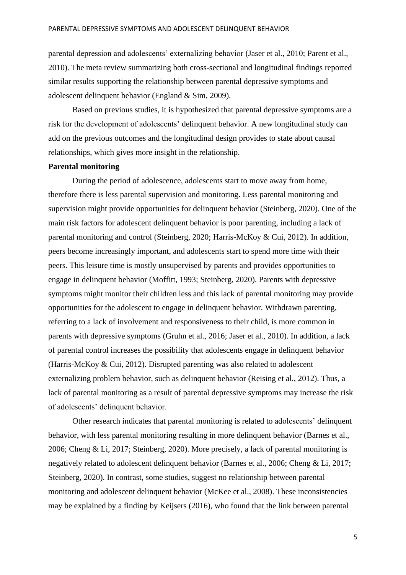parental depression and adolescents' externalizing behavior (Jaser et al., 2010; Parent et al., 2010). The meta review summarizing both cross-sectional and longitudinal findings reported similar results supporting the relationship between parental depressive symptoms and adolescent delinquent behavior (England & Sim, 2009).

Based on previous studies, it is hypothesized that parental depressive symptoms are a risk for the development of adolescents' delinquent behavior. A new longitudinal study can add on the previous outcomes and the longitudinal design provides to state about causal relationships, which gives more insight in the relationship.

## **Parental monitoring**

During the period of adolescence, adolescents start to move away from home, therefore there is less parental supervision and monitoring. Less parental monitoring and supervision might provide opportunities for delinquent behavior (Steinberg, 2020). One of the main risk factors for adolescent delinquent behavior is poor parenting, including a lack of parental monitoring and control (Steinberg, 2020; Harris-McKoy & Cui, 2012). In addition, peers become increasingly important, and adolescents start to spend more time with their peers. This leisure time is mostly unsupervised by parents and provides opportunities to engage in delinquent behavior (Moffitt, 1993; Steinberg, 2020). Parents with depressive symptoms might monitor their children less and this lack of parental monitoring may provide opportunities for the adolescent to engage in delinquent behavior. Withdrawn parenting, referring to a lack of involvement and responsiveness to their child, is more common in parents with depressive symptoms (Gruhn et al., 2016; Jaser et al., 2010). In addition, a lack of parental control increases the possibility that adolescents engage in delinquent behavior (Harris-McKoy & Cui, 2012). Disrupted parenting was also related to adolescent externalizing problem behavior, such as delinquent behavior (Reising et al., 2012). Thus, a lack of parental monitoring as a result of parental depressive symptoms may increase the risk of adolescents' delinquent behavior.

Other research indicates that parental monitoring is related to adolescents' delinquent behavior, with less parental monitoring resulting in more delinquent behavior (Barnes et al., 2006; Cheng & Li, 2017; Steinberg, 2020). More precisely, a lack of parental monitoring is negatively related to adolescent delinquent behavior (Barnes et al., 2006; Cheng & Li, 2017; Steinberg, 2020). In contrast, some studies, suggest no relationship between parental monitoring and adolescent delinquent behavior (McKee et al., 2008). These inconsistencies may be explained by a finding by Keijsers (2016), who found that the link between parental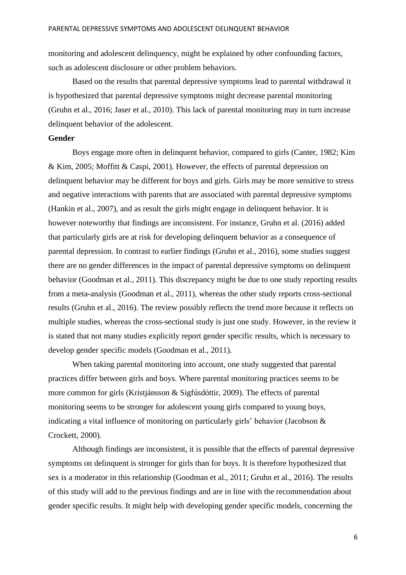monitoring and adolescent delinquency, might be explained by other confounding factors, such as adolescent disclosure or other problem behaviors.

Based on the results that parental depressive symptoms lead to parental withdrawal it is hypothesized that parental depressive symptoms might decrease parental monitoring (Gruhn et al., 2016; Jaser et al., 2010). This lack of parental monitoring may in turn increase delinquent behavior of the adolescent.

## **Gender**

Boys engage more often in delinquent behavior, compared to girls (Canter, 1982; Kim & Kim, 2005; Moffitt & Caspi, 2001). However, the effects of parental depression on delinquent behavior may be different for boys and girls. Girls may be more sensitive to stress and negative interactions with parents that are associated with parental depressive symptoms (Hankin et al., 2007), and as result the girls might engage in delinquent behavior. It is however noteworthy that findings are inconsistent. For instance, Gruhn et al. (2016) added that particularly girls are at risk for developing delinquent behavior as a consequence of parental depression. In contrast to earlier findings (Gruhn et al., 2016), some studies suggest there are no gender differences in the impact of parental depressive symptoms on delinquent behavior (Goodman et al., 2011). This discrepancy might be due to one study reporting results from a meta-analysis (Goodman et al., 2011), whereas the other study reports cross-sectional results (Gruhn et al., 2016). The review possibly reflects the trend more because it reflects on multiple studies, whereas the cross-sectional study is just one study. However, in the review it is stated that not many studies explicitly report gender specific results, which is necessary to develop gender specific models (Goodman et al., 2011).

When taking parental monitoring into account, one study suggested that parental practices differ between girls and boys. Where parental monitoring practices seems to be more common for girls (Kristjánsson & Sigfúsdóttir, 2009). The effects of parental monitoring seems to be stronger for adolescent young girls compared to young boys, indicating a vital influence of monitoring on particularly girls' behavior (Jacobson & Crockett, 2000).

Although findings are inconsistent, it is possible that the effects of parental depressive symptoms on delinquent is stronger for girls than for boys. It is therefore hypothesized that sex is a moderator in this relationship (Goodman et al., 2011; Gruhn et al., 2016). The results of this study will add to the previous findings and are in line with the recommendation about gender specific results. It might help with developing gender specific models, concerning the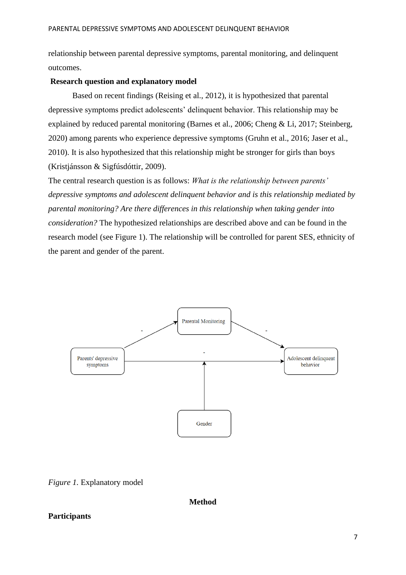relationship between parental depressive symptoms, parental monitoring, and delinquent outcomes.

# **Research question and explanatory model**

Based on recent findings (Reising et al., 2012), it is hypothesized that parental depressive symptoms predict adolescents' delinquent behavior. This relationship may be explained by reduced parental monitoring (Barnes et al., 2006; Cheng & Li, 2017; Steinberg, 2020) among parents who experience depressive symptoms (Gruhn et al., 2016; Jaser et al., 2010). It is also hypothesized that this relationship might be stronger for girls than boys (Kristjánsson & Sigfúsdóttir, 2009).

The central research question is as follows: *What is the relationship between parents' depressive symptoms and adolescent delinquent behavior and is this relationship mediated by parental monitoring? Are there differences in this relationship when taking gender into consideration?* The hypothesized relationships are described above and can be found in the research model (see Figure 1). The relationship will be controlled for parent SES, ethnicity of the parent and gender of the parent.



*Figure 1.* Explanatory model

**Method**

# **Participants**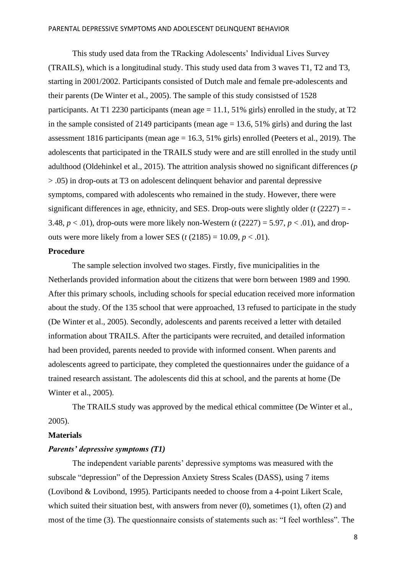This study used data from the TRacking Adolescents' Individual Lives Survey (TRAILS), which is a longitudinal study. This study used data from 3 waves T1, T2 and T3, starting in 2001/2002. Participants consisted of Dutch male and female pre-adolescents and their parents (De Winter et al., 2005). The sample of this study consistsed of 1528 participants. At T1 2230 participants (mean age  $= 11.1$ , 51% girls) enrolled in the study, at T2 in the sample consisted of 2149 participants (mean  $age = 13.6, 51\%$  girls) and during the last assessment 1816 participants (mean age = 16.3, 51% girls) enrolled (Peeters et al., 2019). The adolescents that participated in the TRAILS study were and are still enrolled in the study until adulthood (Oldehinkel et al., 2015). The attrition analysis showed no significant differences (*p* > .05) in drop-outs at T3 on adolescent delinquent behavior and parental depressive symptoms, compared with adolescents who remained in the study. However, there were significant differences in age, ethnicity, and SES. Drop-outs were slightly older (*t* (2227) = - 3.48,  $p < .01$ ), drop-outs were more likely non-Western ( $t$  (2227) = 5.97,  $p < .01$ ), and dropouts were more likely from a lower SES ( $t$  (2185) = 10.09,  $p < .01$ ).

# **Procedure**

The sample selection involved two stages. Firstly, five municipalities in the Netherlands provided information about the citizens that were born between 1989 and 1990. After this primary schools, including schools for special education received more information about the study. Of the 135 school that were approached, 13 refused to participate in the study (De Winter et al., 2005). Secondly, adolescents and parents received a letter with detailed information about TRAILS. After the participants were recruited, and detailed information had been provided, parents needed to provide with informed consent. When parents and adolescents agreed to participate, they completed the questionnaires under the guidance of a trained research assistant. The adolescents did this at school, and the parents at home (De Winter et al., 2005).

The TRAILS study was approved by the medical ethical committee (De Winter et al., 2005).

## **Materials**

## *Parents' depressive symptoms (T1)*

The independent variable parents' depressive symptoms was measured with the subscale "depression" of the Depression Anxiety Stress Scales (DASS), using 7 items (Lovibond & Lovibond, 1995). Participants needed to choose from a 4-point Likert Scale, which suited their situation best, with answers from never (0), sometimes (1), often (2) and most of the time (3). The questionnaire consists of statements such as: "I feel worthless". The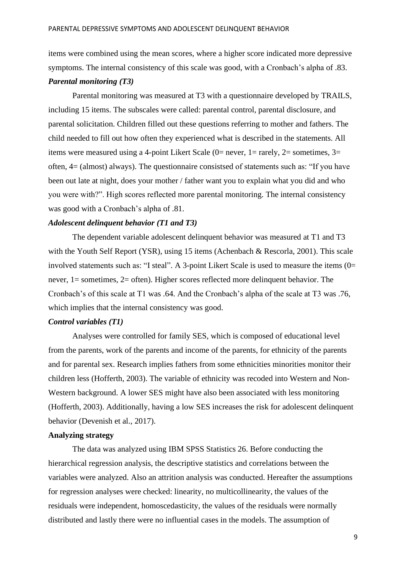items were combined using the mean scores, where a higher score indicated more depressive symptoms. The internal consistency of this scale was good, with a Cronbach's alpha of .83. *Parental monitoring (T3)*

Parental monitoring was measured at T3 with a questionnaire developed by TRAILS, including 15 items. The subscales were called: parental control, parental disclosure, and parental solicitation. Children filled out these questions referring to mother and fathers. The child needed to fill out how often they experienced what is described in the statements. All items were measured using a 4-point Likert Scale (0= never, 1= rarely, 2= sometimes, 3= often, 4= (almost) always). The questionnaire consistsed of statements such as: "If you have been out late at night, does your mother / father want you to explain what you did and who you were with?". High scores reflected more parental monitoring. The internal consistency was good with a Cronbach's alpha of .81.

# *Adolescent delinquent behavior (T1 and T3)*

The dependent variable adolescent delinquent behavior was measured at T1 and T3 with the Youth Self Report (YSR), using 15 items (Achenbach & Rescorla, 2001). This scale involved statements such as: "I steal". A 3-point Likert Scale is used to measure the items (0= never, 1= sometimes, 2= often). Higher scores reflected more delinquent behavior. The Cronbach's of this scale at T1 was .64. And the Cronbach's alpha of the scale at T3 was .76, which implies that the internal consistency was good.

## *Control variables (T1)*

Analyses were controlled for family SES, which is composed of educational level from the parents, work of the parents and income of the parents, for ethnicity of the parents and for parental sex. Research implies fathers from some ethnicities minorities monitor their children less (Hofferth, 2003). The variable of ethnicity was recoded into Western and Non-Western background. A lower SES might have also been associated with less monitoring (Hofferth, 2003). Additionally, having a low SES increases the risk for adolescent delinquent behavior (Devenish et al., 2017).

#### **Analyzing strategy**

The data was analyzed using IBM SPSS Statistics 26. Before conducting the hierarchical regression analysis, the descriptive statistics and correlations between the variables were analyzed. Also an attrition analysis was conducted. Hereafter the assumptions for regression analyses were checked: linearity, no multicollinearity, the values of the residuals were independent, homoscedasticity, the values of the residuals were normally distributed and lastly there were no influential cases in the models. The assumption of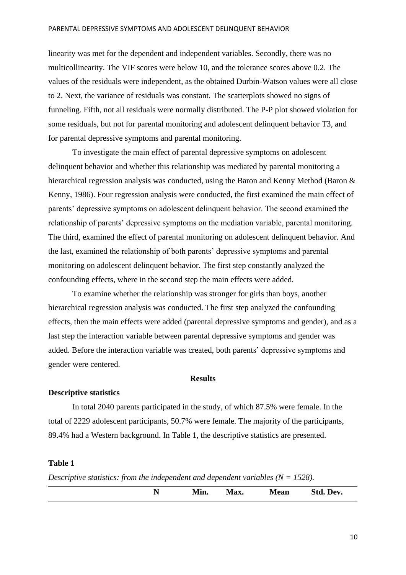linearity was met for the dependent and independent variables. Secondly, there was no multicollinearity. The VIF scores were below 10, and the tolerance scores above 0.2. The values of the residuals were independent, as the obtained Durbin-Watson values were all close to 2. Next, the variance of residuals was constant. The scatterplots showed no signs of funneling. Fifth, not all residuals were normally distributed. The P-P plot showed violation for some residuals, but not for parental monitoring and adolescent delinquent behavior T3, and for parental depressive symptoms and parental monitoring.

To investigate the main effect of parental depressive symptoms on adolescent delinquent behavior and whether this relationship was mediated by parental monitoring a hierarchical regression analysis was conducted, using the Baron and Kenny Method (Baron & Kenny, 1986). Four regression analysis were conducted, the first examined the main effect of parents' depressive symptoms on adolescent delinquent behavior. The second examined the relationship of parents' depressive symptoms on the mediation variable, parental monitoring. The third, examined the effect of parental monitoring on adolescent delinquent behavior. And the last, examined the relationship of both parents' depressive symptoms and parental monitoring on adolescent delinquent behavior. The first step constantly analyzed the confounding effects, where in the second step the main effects were added.

To examine whether the relationship was stronger for girls than boys, another hierarchical regression analysis was conducted. The first step analyzed the confounding effects, then the main effects were added (parental depressive symptoms and gender), and as a last step the interaction variable between parental depressive symptoms and gender was added. Before the interaction variable was created, both parents' depressive symptoms and gender were centered.

# **Results**

#### **Descriptive statistics**

In total 2040 parents participated in the study, of which 87.5% were female. In the total of 2229 adolescent participants, 50.7% were female. The majority of the participants, 89.4% had a Western background. In Table 1, the descriptive statistics are presented.

## **Table 1**

*Descriptive statistics: from the independent and dependent variables*  $(N = 1528)$ .

|  | Min. | Max. | <b>Mean</b> | Std.<br>Dev. |
|--|------|------|-------------|--------------|
|  |      |      |             |              |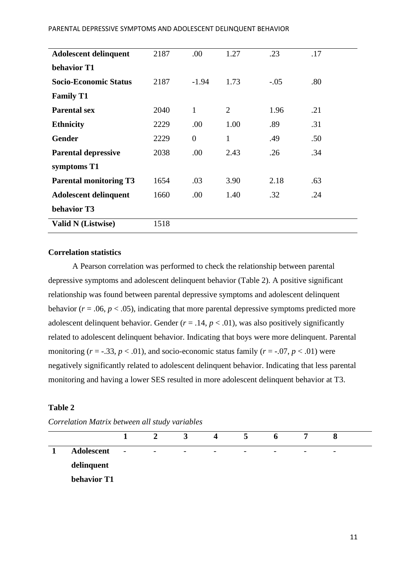| <b>Adolescent delinquent</b>  | 2187 | .00            | 1.27           | .23    | .17 |
|-------------------------------|------|----------------|----------------|--------|-----|
| behavior T1                   |      |                |                |        |     |
| <b>Socio-Economic Status</b>  | 2187 | $-1.94$        | 1.73           | $-.05$ | .80 |
| <b>Family T1</b>              |      |                |                |        |     |
| <b>Parental sex</b>           | 2040 | $\mathbf{1}$   | $\overline{2}$ | 1.96   | .21 |
| <b>Ethnicity</b>              | 2229 | .00            | 1.00           | .89    | .31 |
| <b>Gender</b>                 | 2229 | $\overline{0}$ | 1              | .49    | .50 |
| <b>Parental depressive</b>    | 2038 | .00            | 2.43           | .26    | .34 |
| symptoms T1                   |      |                |                |        |     |
| <b>Parental monitoring T3</b> | 1654 | .03            | 3.90           | 2.18   | .63 |
| <b>Adolescent delinquent</b>  | 1660 | .00            | 1.40           | .32    | .24 |
| behavior T3                   |      |                |                |        |     |
| <b>Valid N</b> (Listwise)     | 1518 |                |                |        |     |

# **Correlation statistics**

A Pearson correlation was performed to check the relationship between parental depressive symptoms and adolescent delinquent behavior (Table 2). A positive significant relationship was found between parental depressive symptoms and adolescent delinquent behavior ( $r = .06$ ,  $p < .05$ ), indicating that more parental depressive symptoms predicted more adolescent delinquent behavior. Gender  $(r = .14, p < .01)$ , was also positively significantly related to adolescent delinquent behavior. Indicating that boys were more delinquent. Parental monitoring  $(r = -.33, p < .01)$ , and socio-economic status family  $(r = -.07, p < .01)$  were negatively significantly related to adolescent delinquent behavior. Indicating that less parental monitoring and having a lower SES resulted in more adolescent delinquent behavior at T3.

# **Table 2**

|             |                          | 2                        | $\mathbf{E}$             | 4                        | $\mathbf{D}$             | $\mathbf{p}$             |                          | O                        |  |
|-------------|--------------------------|--------------------------|--------------------------|--------------------------|--------------------------|--------------------------|--------------------------|--------------------------|--|
| Adolescent  | $\overline{\phantom{a}}$ | $\overline{\phantom{a}}$ | $\overline{\phantom{0}}$ | $\overline{\phantom{a}}$ | $\overline{\phantom{a}}$ | $\overline{\phantom{a}}$ | $\overline{\phantom{0}}$ | $\overline{\phantom{0}}$ |  |
| delinquent  |                          |                          |                          |                          |                          |                          |                          |                          |  |
| behavior T1 |                          |                          |                          |                          |                          |                          |                          |                          |  |

*Correlation Matrix between all study variables*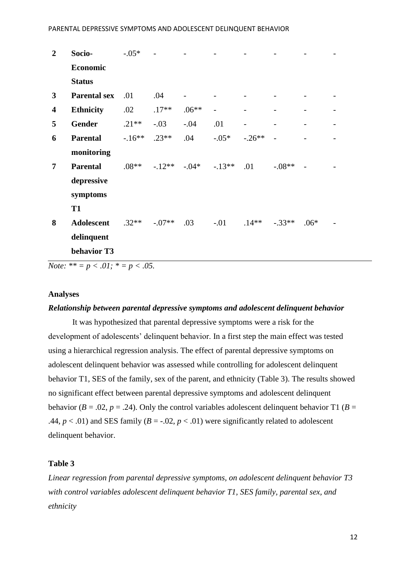| $\overline{2}$          | Socio-              | $-.05*$ |          |          |         |          |          |        |  |
|-------------------------|---------------------|---------|----------|----------|---------|----------|----------|--------|--|
|                         | Economic            |         |          |          |         |          |          |        |  |
|                         | <b>Status</b>       |         |          |          |         |          |          |        |  |
| $\mathbf{3}$            | <b>Parental sex</b> | .01     | .04      |          |         |          |          |        |  |
| $\overline{\mathbf{4}}$ | <b>Ethnicity</b>    | .02     | $.17**$  | $.06**$  |         |          |          |        |  |
| 5                       | <b>Gender</b>       | $.21**$ | $-.03$   | $-.04$   | .01     |          |          |        |  |
| 6                       | <b>Parental</b>     | $-16**$ | $.23**$  | .04      | $-.05*$ | $-.26**$ |          |        |  |
|                         | monitoring          |         |          |          |         |          |          |        |  |
| $\overline{7}$          | <b>Parental</b>     | $.08**$ | $-12**$  | $-0.04*$ | $-13**$ | .01      | $-.08**$ |        |  |
|                         | depressive          |         |          |          |         |          |          |        |  |
|                         | symptoms            |         |          |          |         |          |          |        |  |
|                         | <b>T1</b>           |         |          |          |         |          |          |        |  |
| 8                       | <b>Adolescent</b>   | $.32**$ | $-.07**$ | .03      | $-0.01$ | $.14***$ | $-.33**$ | $.06*$ |  |
|                         | delinquent          |         |          |          |         |          |          |        |  |
|                         | behavior T3         |         |          |          |         |          |          |        |  |

*Note:*  $** = p \le 0.01$ ;  $* = p \le 0.05$ .

## **Analyses**

## *Relationship between parental depressive symptoms and adolescent delinquent behavior*

It was hypothesized that parental depressive symptoms were a risk for the development of adolescents' delinquent behavior. In a first step the main effect was tested using a hierarchical regression analysis. The effect of parental depressive symptoms on adolescent delinquent behavior was assessed while controlling for adolescent delinquent behavior T1, SES of the family, sex of the parent, and ethnicity (Table 3). The results showed no significant effect between parental depressive symptoms and adolescent delinquent behavior ( $B = .02$ ,  $p = .24$ ). Only the control variables adolescent delinquent behavior T1 ( $B =$ .44,  $p < .01$ ) and SES family ( $B = .02$ ,  $p < .01$ ) were significantly related to adolescent delinquent behavior.

# **Table 3**

*Linear regression from parental depressive symptoms, on adolescent delinquent behavior T3 with control variables adolescent delinquent behavior T1, SES family, parental sex, and ethnicity*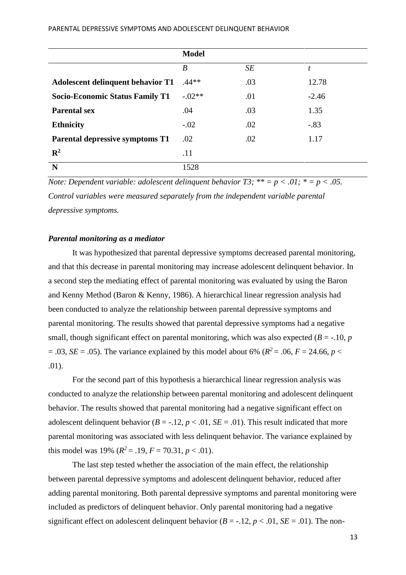|                                          | <b>Model</b> |     |         |
|------------------------------------------|--------------|-----|---------|
|                                          | B            | SE  | t       |
| <b>Adolescent delinquent behavior T1</b> | $.44**$      | .03 | 12.78   |
| <b>Socio-Economic Status Family T1</b>   | $-.02**$     | .01 | $-2.46$ |
| <b>Parental sex</b>                      | .04          | .03 | 1.35    |
| <b>Ethnicity</b>                         | $-.02$       | .02 | $-.83$  |
| <b>Parental depressive symptoms T1</b>   | .02          | .02 | 1.17    |
| $\mathbf{R}^2$                           | .11          |     |         |
| N                                        | 1528         |     |         |

*Note: Dependent variable: adolescent delinquent behavior*  $T3$ *; \*\* =*  $p < .01$ *; \* =*  $p < .05$ *. Control variables were measured separately from the independent variable parental depressive symptoms.* 

## *Parental monitoring as a mediator*

It was hypothesized that parental depressive symptoms decreased parental monitoring, and that this decrease in parental monitoring may increase adolescent delinquent behavior. In a second step the mediating effect of parental monitoring was evaluated by using the Baron and Kenny Method (Baron & Kenny, 1986). A hierarchical linear regression analysis had been conducted to analyze the relationship between parental depressive symptoms and parental monitoring. The results showed that parental depressive symptoms had a negative small, though significant effect on parental monitoring, which was also expected ( $B = -10$ ,  $p$ )  $= .03$ , *SE* = .05). The variance explained by this model about 6% ( $R^2 = .06$ ,  $F = 24.66$ ,  $p <$ .01).

For the second part of this hypothesis a hierarchical linear regression analysis was conducted to analyze the relationship between parental monitoring and adolescent delinquent behavior. The results showed that parental monitoring had a negative significant effect on adolescent delinquent behavior ( $B = -12$ ,  $p < 0.01$ ,  $SE = 0.01$ ). This result indicated that more parental monitoring was associated with less delinquent behavior. The variance explained by this model was 19% ( $R^2 = .19$ ,  $F = 70.31$ ,  $p < .01$ ).

The last step tested whether the association of the main effect, the relationship between parental depressive symptoms and adolescent delinquent behavior, reduced after adding parental monitoring. Both parental depressive symptoms and parental monitoring were included as predictors of delinquent behavior. Only parental monitoring had a negative significant effect on adolescent delinquent behavior  $(B = -12, p < 0.01, SE = 0.01)$ . The non-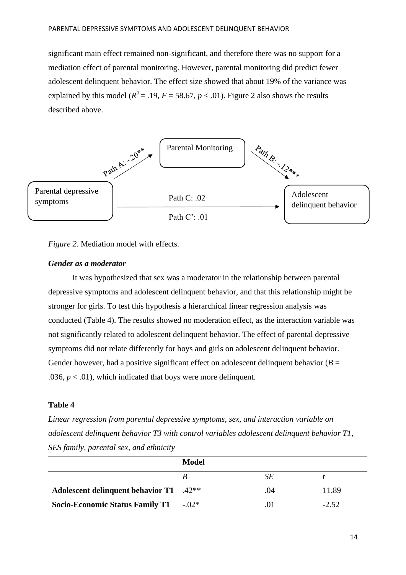significant main effect remained non-significant, and therefore there was no support for a mediation effect of parental monitoring. However, parental monitoring did predict fewer adolescent delinquent behavior. The effect size showed that about 19% of the variance was explained by this model ( $R^2 = .19$ ,  $F = 58.67$ ,  $p < .01$ ). Figure 2 also shows the results described above.



*Figure 2.* Mediation model with effects.

## *Gender as a moderator*

It was hypothesized that sex was a moderator in the relationship between parental depressive symptoms and adolescent delinquent behavior, and that this relationship might be stronger for girls. To test this hypothesis a hierarchical linear regression analysis was conducted (Table 4). The results showed no moderation effect, as the interaction variable was not significantly related to adolescent delinquent behavior. The effect of parental depressive symptoms did not relate differently for boys and girls on adolescent delinquent behavior. Gender however, had a positive significant effect on adolescent delinquent behavior  $(B =$ .036,  $p < .01$ ), which indicated that boys were more delinquent.

# **Table 4**

*Linear regression from parental depressive symptoms, sex, and interaction variable on adolescent delinquent behavior T3 with control variables adolescent delinquent behavior T1, SES family, parental sex, and ethnicity*

|                                                     | <b>Model</b> |     |         |
|-----------------------------------------------------|--------------|-----|---------|
|                                                     |              | SЕ  |         |
| Adolescent delinquent behavior T1 .42 <sup>**</sup> |              | .04 | 11.89   |
| <b>Socio-Economic Status Family T1</b>              | $-02*$       |     | $-2.52$ |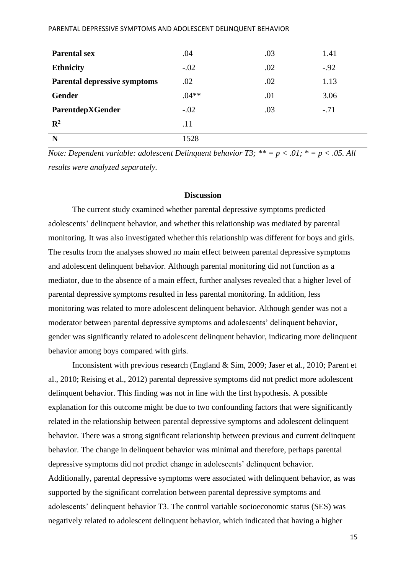| <b>Parental sex</b>                 | .04     | .03 | 1.41   |
|-------------------------------------|---------|-----|--------|
| <b>Ethnicity</b>                    | $-.02$  | .02 | $-.92$ |
| <b>Parental depressive symptoms</b> | .02     | .02 | 1.13   |
| Gender                              | $.04**$ | .01 | 3.06   |
| ParentdepXGender                    | $-.02$  | .03 | $-.71$ |
| $\mathbb{R}^2$                      | .11     |     |        |
| N                                   | 1528    |     |        |

*Note: Dependent variable: adolescent Delinquent behavior*  $T3$ *;*  $** = p < .01$ *;*  $* = p < .05$ *. All results were analyzed separately.* 

## **Discussion**

The current study examined whether parental depressive symptoms predicted adolescents' delinquent behavior, and whether this relationship was mediated by parental monitoring. It was also investigated whether this relationship was different for boys and girls. The results from the analyses showed no main effect between parental depressive symptoms and adolescent delinquent behavior. Although parental monitoring did not function as a mediator, due to the absence of a main effect, further analyses revealed that a higher level of parental depressive symptoms resulted in less parental monitoring. In addition, less monitoring was related to more adolescent delinquent behavior. Although gender was not a moderator between parental depressive symptoms and adolescents' delinquent behavior, gender was significantly related to adolescent delinquent behavior, indicating more delinquent behavior among boys compared with girls.

Inconsistent with previous research (England & Sim, 2009; Jaser et al., 2010; Parent et al., 2010; Reising et al., 2012) parental depressive symptoms did not predict more adolescent delinquent behavior. This finding was not in line with the first hypothesis. A possible explanation for this outcome might be due to two confounding factors that were significantly related in the relationship between parental depressive symptoms and adolescent delinquent behavior. There was a strong significant relationship between previous and current delinquent behavior. The change in delinquent behavior was minimal and therefore, perhaps parental depressive symptoms did not predict change in adolescents' delinquent behavior. Additionally, parental depressive symptoms were associated with delinquent behavior, as was supported by the significant correlation between parental depressive symptoms and adolescents' delinquent behavior T3. The control variable socioeconomic status (SES) was negatively related to adolescent delinquent behavior, which indicated that having a higher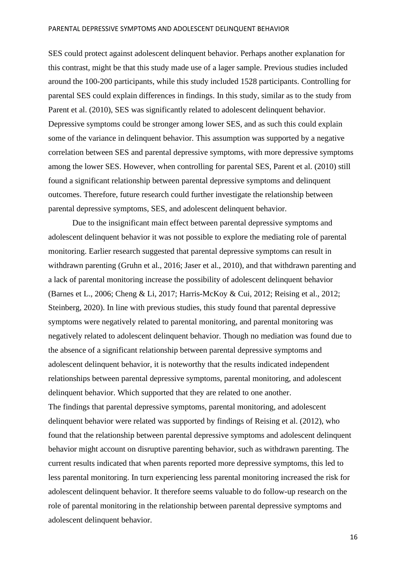SES could protect against adolescent delinquent behavior. Perhaps another explanation for this contrast, might be that this study made use of a lager sample. Previous studies included around the 100-200 participants, while this study included 1528 participants. Controlling for parental SES could explain differences in findings. In this study, similar as to the study from Parent et al. (2010), SES was significantly related to adolescent delinquent behavior. Depressive symptoms could be stronger among lower SES, and as such this could explain some of the variance in delinquent behavior. This assumption was supported by a negative correlation between SES and parental depressive symptoms, with more depressive symptoms among the lower SES. However, when controlling for parental SES, Parent et al. (2010) still found a significant relationship between parental depressive symptoms and delinquent outcomes. Therefore, future research could further investigate the relationship between parental depressive symptoms, SES, and adolescent delinquent behavior.

Due to the insignificant main effect between parental depressive symptoms and adolescent delinquent behavior it was not possible to explore the mediating role of parental monitoring. Earlier research suggested that parental depressive symptoms can result in withdrawn parenting (Gruhn et al., 2016; Jaser et al., 2010), and that withdrawn parenting and a lack of parental monitoring increase the possibility of adolescent delinquent behavior (Barnes et L., 2006; Cheng & Li, 2017; Harris-McKoy & Cui, 2012; Reising et al., 2012; Steinberg, 2020). In line with previous studies, this study found that parental depressive symptoms were negatively related to parental monitoring, and parental monitoring was negatively related to adolescent delinquent behavior. Though no mediation was found due to the absence of a significant relationship between parental depressive symptoms and adolescent delinquent behavior, it is noteworthy that the results indicated independent relationships between parental depressive symptoms, parental monitoring, and adolescent delinquent behavior. Which supported that they are related to one another. The findings that parental depressive symptoms, parental monitoring, and adolescent delinquent behavior were related was supported by findings of Reising et al. (2012), who found that the relationship between parental depressive symptoms and adolescent delinquent behavior might account on disruptive parenting behavior, such as withdrawn parenting. The current results indicated that when parents reported more depressive symptoms, this led to less parental monitoring. In turn experiencing less parental monitoring increased the risk for adolescent delinquent behavior. It therefore seems valuable to do follow-up research on the role of parental monitoring in the relationship between parental depressive symptoms and adolescent delinquent behavior.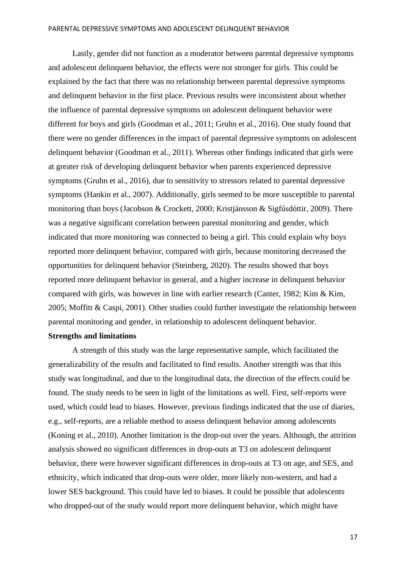Lastly, gender did not function as a moderator between parental depressive symptoms and adolescent delinquent behavior, the effects were not stronger for girls. This could be explained by the fact that there was no relationship between parental depressive symptoms and delinquent behavior in the first place. Previous results were inconsistent about whether the influence of parental depressive symptoms on adolescent delinquent behavior were different for boys and girls (Goodman et al., 2011; Gruhn et al., 2016). One study found that there were no gender differences in the impact of parental depressive symptoms on adolescent delinquent behavior (Goodman et al., 2011). Whereas other findings indicated that girls were at greater risk of developing delinquent behavior when parents experienced depressive symptoms (Gruhn et al., 2016), due to sensitivity to stressors related to parental depressive symptoms (Hankin et al., 2007). Additionally, girls seemed to be more susceptible to parental monitoring than boys (Jacobson & Crockett, 2000; Kristjánsson & Sigfúsdóttir, 2009). There was a negative significant correlation between parental monitoring and gender, which indicated that more monitoring was connected to being a girl. This could explain why boys reported more delinquent behavior, compared with girls, because monitoring decreased the opportunities for delinquent behavior (Steinberg, 2020). The results showed that boys reported more delinquent behavior in general, and a higher increase in delinquent behavior compared with girls, was however in line with earlier research (Canter, 1982; Kim & Kim, 2005; Moffitt & Caspi, 2001). Other studies could further investigate the relationship between parental monitoring and gender, in relationship to adolescent delinquent behavior. **Strengths and limitations**

A strength of this study was the large representative sample, which facilitated the generalizability of the results and facilitated to find results. Another strength was that this study was longitudinal, and due to the longitudinal data, the direction of the effects could be found. The study needs to be seen in light of the limitations as well. First, self-reports were used, which could lead to biases. However, previous findings indicated that the use of diaries, e.g., self-reports, are a reliable method to assess delinquent behavior among adolescents (Koning et al., 2010). Another limitation is the drop-out over the years. Although, the attrition analysis showed no significant differences in drop-outs at T3 on adolescent delinquent behavior, there were however significant differences in drop-outs at T3 on age, and SES, and ethnicity, which indicated that drop-outs were older, more likely non-western, and had a lower SES background. This could have led to biases. It could be possible that adolescents who dropped-out of the study would report more delinquent behavior, which might have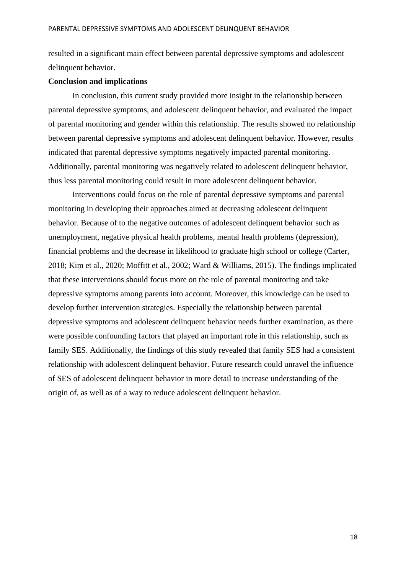resulted in a significant main effect between parental depressive symptoms and adolescent delinquent behavior.

## **Conclusion and implications**

In conclusion, this current study provided more insight in the relationship between parental depressive symptoms, and adolescent delinquent behavior, and evaluated the impact of parental monitoring and gender within this relationship. The results showed no relationship between parental depressive symptoms and adolescent delinquent behavior. However, results indicated that parental depressive symptoms negatively impacted parental monitoring. Additionally, parental monitoring was negatively related to adolescent delinquent behavior, thus less parental monitoring could result in more adolescent delinquent behavior.

Interventions could focus on the role of parental depressive symptoms and parental monitoring in developing their approaches aimed at decreasing adolescent delinquent behavior. Because of to the negative outcomes of adolescent delinquent behavior such as unemployment, negative physical health problems, mental health problems (depression), financial problems and the decrease in likelihood to graduate high school or college (Carter, 2018; Kim et al., 2020; Moffitt et al., 2002; Ward & Williams, 2015). The findings implicated that these interventions should focus more on the role of parental monitoring and take depressive symptoms among parents into account. Moreover, this knowledge can be used to develop further intervention strategies. Especially the relationship between parental depressive symptoms and adolescent delinquent behavior needs further examination, as there were possible confounding factors that played an important role in this relationship, such as family SES. Additionally, the findings of this study revealed that family SES had a consistent relationship with adolescent delinquent behavior. Future research could unravel the influence of SES of adolescent delinquent behavior in more detail to increase understanding of the origin of, as well as of a way to reduce adolescent delinquent behavior.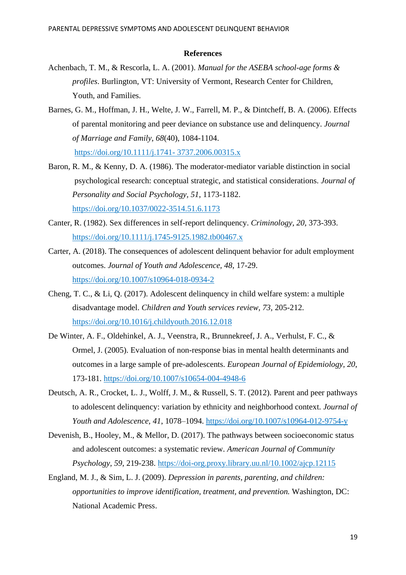#### **References**

- Achenbach, T. M., & Rescorla, L. A. (2001). *Manual for the ASEBA school-age forms & profiles*. Burlington, VT: University of Vermont, Research Center for Children, Youth, and Families.
- Barnes, G. M., Hoffman, J. H., Welte, J. W., Farrell, M. P., & Dintcheff, B. A. (2006). Effects of parental monitoring and peer deviance on substance use and delinquency. *Journal of Marriage and Family, 68*(40), 1084-1104.

[https://doi.org/10.1111/j.1741-](https://doi.org/10.1111/j.1741-%203737.2006.00315.x) 3737.2006.00315.x

- Baron, R. M., & Kenny, D. A. (1986). The moderator-mediator variable distinction in social psychological research: conceptual strategic, and statistical considerations. *Journal of Personality and Social Psychology, 51*, 1173-1182. <https://doi.org/10.1037/0022-3514.51.6.1173>
- Canter, R. (1982). Sex differences in self-report delinquency. *Criminology, 20*, 373-393. <https://doi.org/10.1111/j.1745-9125.1982.tb00467.x>
- Carter, A. (2018). The consequences of adolescent delinquent behavior for adult employment outcomes. *Journal of Youth and Adolescence, 48*, 17-29. https://doi.org/10.1007/s10964-018-0934-2
- Cheng, T. C., & Li, Q. (2017). Adolescent delinquency in child welfare system: a multiple disadvantage model. *Children and Youth services review, 73,* 205-212. <https://doi.org/10.1016/j.childyouth.2016.12.018>
- De Winter, A. F., Oldehinkel, A. J., Veenstra, R., Brunnekreef, J. A., Verhulst, F. C., & Ormel, J. (2005). Evaluation of non-response bias in mental health determinants and outcomes in a large sample of pre-adolescents. *European Journal of Epidemiology, 20*, 173-181. <https://doi.org/10.1007/s10654-004-4948-6>
- Deutsch, A. R., Crocket, L. J., Wolff, J. M., & Russell, S. T. (2012). Parent and peer pathways to adolescent delinquency: variation by ethnicity and neighborhood context. *Journal of Youth and Adolescence, 41*, 1078–1094. https://doi.org/10.1007/s10964-012-9754-y
- Devenish, B., Hooley, M., & Mellor, D. (2017). The pathways between socioeconomic status and adolescent outcomes: a systematic review. *American Journal of Community Psychology, 59*, 219-238.<https://doi-org.proxy.library.uu.nl/10.1002/ajcp.12115>
- England, M. J., & Sim, L. J. (2009). *Depression in parents, parenting, and children: opportunities to improve identification, treatment, and prevention.* Washington, DC: National Academic Press.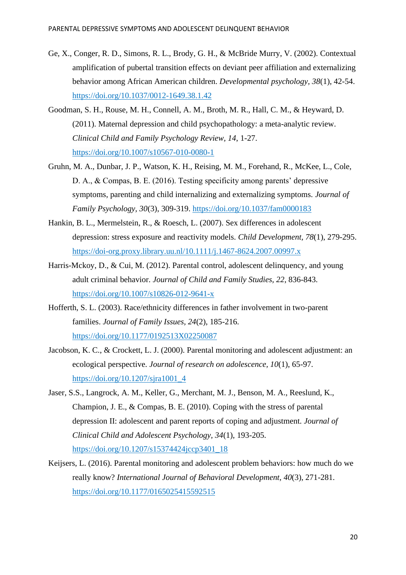- Ge, X., Conger, R. D., Simons, R. L., Brody, G. H., & McBride Murry, V. (2002). Contextual amplification of pubertal transition effects on deviant peer affiliation and externalizing behavior among African American children. *Developmental psychology, 38*(1), 42-54. <https://doi.org/10.1037/0012-1649.38.1.42>
- Goodman, S. H., Rouse, M. H., Connell, A. M., Broth, M. R., Hall, C. M., & Heyward, D. (2011). Maternal depression and child psychopathology: a meta-analytic review. *Clinical Child and Family Psychology Review, 14*, 1-27. <https://doi.org/10.1007/s10567-010-0080-1>
- Gruhn, M. A., Dunbar, J. P., Watson, K. H., Reising, M. M., Forehand, R., McKee, L., Cole, D. A., & Compas, B. E. (2016). Testing specificity among parents' depressive symptoms, parenting and child internalizing and externalizing symptoms. *Journal of Family Psychology, 30*(3), 309-319. [https://doi.org/10.1037/fam0000183](https://doi.apa.org/doi/10.1037/fam0000183)
- Hankin, B. L., Mermelstein, R., & Roesch, L. (2007). Sex differences in adolescent depression: stress exposure and reactivity models. *Child Development, 78*(1), 279-295. <https://doi-org.proxy.library.uu.nl/10.1111/j.1467-8624.2007.00997.x>
- Harris-Mckoy, D., & Cui, M. (2012). Parental control, adolescent delinquency, and young adult criminal behavior. *Journal of Child and Family Studies, 22*, 836-843. <https://doi.org/10.1007/s10826-012-9641-x>
- Hofferth, S. L. (2003). Race/ethnicity differences in father involvement in two-parent families. *Journal of Family Issues, 24*(2), 185-216. <https://doi.org/10.1177/0192513X02250087>
- Jacobson, K. C., & Crockett, L. J. (2000). Parental monitoring and adolescent adjustment: an ecological perspective. *Journal of research on adolescence, 10*(1), 65-97. [https://doi.org/10.1207/sjra1001\\_4](https://doi.org/10.1207/sjra1001_4)
- Jaser, S.S., Langrock, A. M., Keller, G., Merchant, M. J., Benson, M. A., Reeslund, K., Champion, J. E., & Compas, B. E. (2010). Coping with the stress of parental depression II: adolescent and parent reports of coping and adjustment. *Journal of Clinical Child and Adolescent Psychology, 34*(1), 193-205. [https://doi.org/10.1207/s15374424jccp3401\\_18](https://doi.org/10.1207/s15374424jccp3401_18)
- Keijsers, L. (2016). Parental monitoring and adolescent problem behaviors: how much do we really know? *International Journal of Behavioral Development, 40*(3), 271-281. <https://doi.org/10.1177/0165025415592515>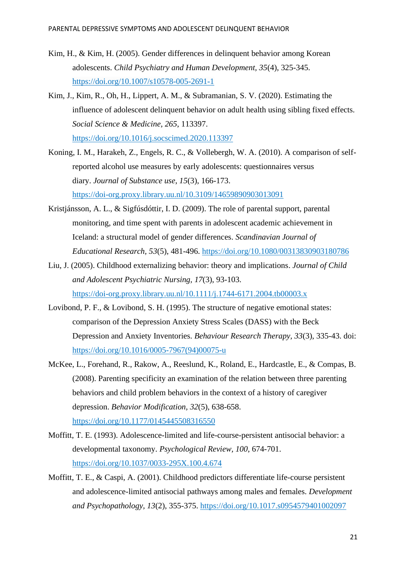- Kim, H., & Kim, H. (2005). Gender differences in delinquent behavior among Korean adolescents. *Child Psychiatry and Human Development, 35*(4), 325-345. <https://doi.org/10.1007/s10578-005-2691-1>
- Kim, J., Kim, R., Oh, H., Lippert, A. M., & Subramanian, S. V. (2020). Estimating the influence of adolescent delinquent behavior on adult health using sibling fixed effects. *Social Science & Medicine, 265*, 113397. <https://doi.org/10.1016/j.socscimed.2020.113397>
- Koning, I. M., Harakeh, Z., Engels, R. C., & Vollebergh, W. A. (2010). A comparison of selfreported alcohol use measures by early adolescents: questionnaires versus diary. *Journal of Substance use*, *15*(3), 166-173. <https://doi-org.proxy.library.uu.nl/10.3109/14659890903013091>
- Kristjánsson, A. L., & Sigfúsdóttir, I. D. (2009). The role of parental support, parental monitoring, and time spent with parents in adolescent academic achievement in Iceland: a structural model of gender differences. *Scandinavian Journal of Educational Research, 53*(5), 481-496.<https://doi.org/10.1080/00313830903180786>
- Liu, J. (2005). Childhood externalizing behavior: theory and implications. *Journal of Child and Adolescent Psychiatric Nursing, 17*(3), 93-103. <https://doi-org.proxy.library.uu.nl/10.1111/j.1744-6171.2004.tb00003.x>
- Lovibond, P. F., & Lovibond, S. H. (1995). The structure of negative emotional states: comparison of the Depression Anxiety Stress Scales (DASS) with the Beck Depression and Anxiety Inventories. *Behaviour Research Therapy, 33*(3), 335-43. doi: [https://doi.org/10.1016/0005-7967\(94\)00075-u](https://doi.org/10.1016/0005-7967(94)00075-u)
- McKee, L., Forehand, R., Rakow, A., Reeslund, K., Roland, E., Hardcastle, E., & Compas, B. (2008). Parenting specificity an examination of the relation between three parenting behaviors and child problem behaviors in the context of a history of caregiver depression. *Behavior Modification, 32*(5), 638-658. <https://doi.org/10.1177/0145445508316550>
- Moffitt, T. E. (1993). Adolescence-limited and life-course-persistent antisocial behavior: a developmental taxonomy. *Psychological Review, 100*, 674-701. [https://doi.org/10.1037/0033-295X.100.4.674](https://doi.apa.org/doi/10.1037/0033-295X.100.4.674)
- Moffitt, T. E., & Caspi, A. (2001). Childhood predictors differentiate life-course persistent and adolescence-limited antisocial pathways among males and females. *Development and Psychopathology, 13*(2), 355-375. <https://doi.org/10.1017.s0954579401002097>